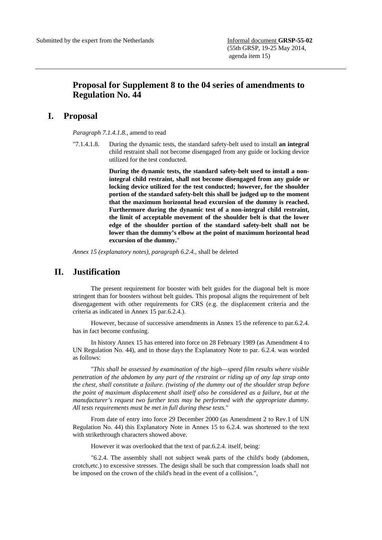## **Proposal for Supplement 8 to the 04 series of amendments to Regulation No. 44**

## **I. Proposal**

*Paragraph 7.1.4.1.8.,* amend to read

"7.1.4.1.8. During the dynamic tests, the standard safety-belt used to install **an integral**  child restraint shall not become disengaged from any guide or locking device utilized for the test conducted.

> **During the dynamic tests, the standard safety-belt used to install a nonintegral child restraint, shall not become disengaged from any guide or locking device utilized for the test conducted; however, for the shoulder portion of the standard safety-belt this shall be judged up to the moment that the maximum horizontal head excursion of the dummy is reached. Furthermore during the dynamic test of a non-integral child restraint, the limit of acceptable movement of the shoulder belt is that the lower edge of the shoulder portion of the standard safety-belt shall not be lower than the dummy's elbow at the point of maximum horizontal head excursion of the dummy.**"

*Annex 15 (explanatory notes), paragraph 6.2.4.,* shall be deleted

## **II. Justification**

 The present requirement for booster with belt guides for the diagonal belt is more stringent than for boosters without belt guides. This proposal aligns the requirement of belt disengagement with other requirements for CRS (e.g. the displacement criteria and the criteria as indicated in Annex 15 par.6.2.4.).

 However, because of successive amendments in Annex 15 the reference to par.6.2.4. has in fact become confusing.

 In history Annex 15 has entered into force on 28 February 1989 (as Amendment 4 to UN Regulation No. 44), and in those days the Explanatory Note to par. 6.2.4. was worded as follows:

 "*This shall be assessed by examination of the high—speed film results where visible penetration of the abdomen by any part of the restraint or riding up of any lap strap onto the chest, shall constitute a failure. (twisting of the dummy out of the shoulder strap before the point of maximum displacement shall itself also be considered as a failure, but at the manufacturer's request two further tests may be performed with the appropriate dummy. All tests requirements must be met in full during these tests.*"

 From date of entry into force 29 December 2000 (as Amendment 2 to Rev.1 of UN Regulation No. 44) this Explanatory Note in Annex 15 to 6.2.4. was shortened to the text with strikethrough characters showed above.

However it was overlooked that the text of par.6.2.4. itself, being:

 "6.2.4. The assembly shall not subject weak parts of the child's body (abdomen, crotch,etc.) to excessive stresses. The design shall be such that compression loads shall not be imposed on the crown of the child's head in the event of a collision.",